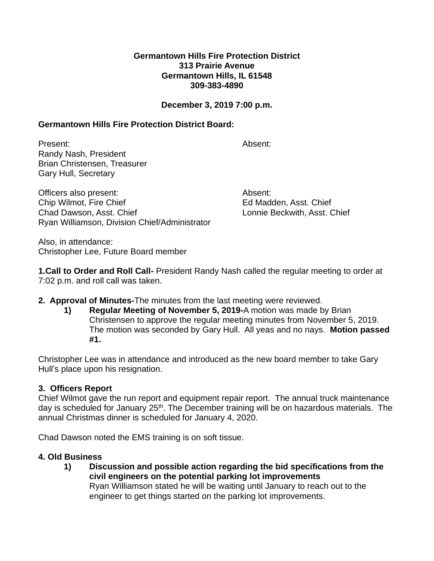#### **Germantown Hills Fire Protection District 313 Prairie Avenue Germantown Hills, IL 61548 309-383-4890**

### **December 3, 2019 7:00 p.m.**

### **Germantown Hills Fire Protection District Board:**

Present: Absent: Randy Nash, President Brian Christensen, Treasurer Gary Hull, Secretary Officers also present: Absent:

Chip Wilmot, Fire Chief **Ed Madden**, Asst. Chief Chad Dawson, Asst. Chief Lonnie Beckwith, Asst. Chief Ryan Williamson, Division Chief/Administrator

Also, in attendance: Christopher Lee, Future Board member

**1.Call to Order and Roll Call-** President Randy Nash called the regular meeting to order at 7:02 p.m. and roll call was taken.

- **2. Approval of Minutes-**The minutes from the last meeting were reviewed.
	- **1) Regular Meeting of November 5, 2019-**A motion was made by Brian Christensen to approve the regular meeting minutes from November 5, 2019. The motion was seconded by Gary Hull. All yeas and no nays. **Motion passed #1.**

Christopher Lee was in attendance and introduced as the new board member to take Gary Hull's place upon his resignation.

# **3. Officers Report**

Chief Wilmot gave the run report and equipment repair report. The annual truck maintenance day is scheduled for January 25<sup>th</sup>. The December training will be on hazardous materials. The annual Christmas dinner is scheduled for January 4, 2020.

Chad Dawson noted the EMS training is on soft tissue.

# **4. Old Business**

**1) Discussion and possible action regarding the bid specifications from the civil engineers on the potential parking lot improvements** Ryan Williamson stated he will be waiting until January to reach out to the engineer to get things started on the parking lot improvements.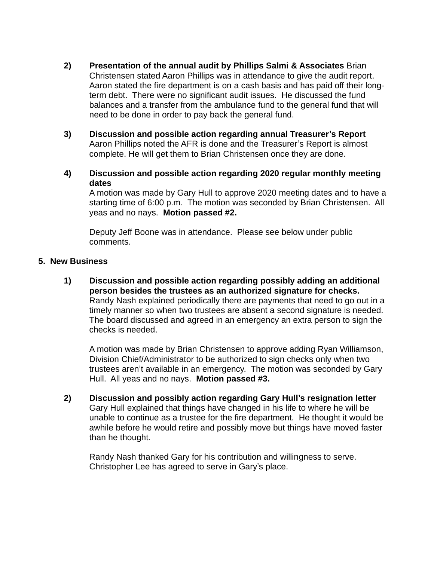- **2) Presentation of the annual audit by Phillips Salmi & Associates** Brian Christensen stated Aaron Phillips was in attendance to give the audit report. Aaron stated the fire department is on a cash basis and has paid off their longterm debt. There were no significant audit issues. He discussed the fund balances and a transfer from the ambulance fund to the general fund that will need to be done in order to pay back the general fund.
- **3) Discussion and possible action regarding annual Treasurer's Report** Aaron Phillips noted the AFR is done and the Treasurer's Report is almost complete. He will get them to Brian Christensen once they are done.
- **4) Discussion and possible action regarding 2020 regular monthly meeting dates**

A motion was made by Gary Hull to approve 2020 meeting dates and to have a starting time of 6:00 p.m. The motion was seconded by Brian Christensen. All yeas and no nays. **Motion passed #2.**

Deputy Jeff Boone was in attendance. Please see below under public comments.

## **5. New Business**

**1) Discussion and possible action regarding possibly adding an additional person besides the trustees as an authorized signature for checks.** Randy Nash explained periodically there are payments that need to go out in a timely manner so when two trustees are absent a second signature is needed. The board discussed and agreed in an emergency an extra person to sign the checks is needed.

A motion was made by Brian Christensen to approve adding Ryan Williamson, Division Chief/Administrator to be authorized to sign checks only when two trustees aren't available in an emergency. The motion was seconded by Gary Hull. All yeas and no nays. **Motion passed #3.**

**2) Discussion and possibly action regarding Gary Hull's resignation letter** Gary Hull explained that things have changed in his life to where he will be unable to continue as a trustee for the fire department. He thought it would be awhile before he would retire and possibly move but things have moved faster than he thought.

Randy Nash thanked Gary for his contribution and willingness to serve. Christopher Lee has agreed to serve in Gary's place.